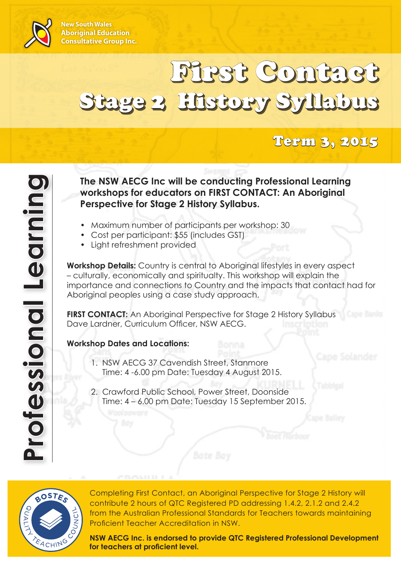

**New South Wales Aboriginal Education Consultative Group Inc.**

# First Contact Stage 2 History Syllabus

## Term 3, 2015

**The NSW AECG Inc will be conducting Professional Learning workshops for educators on FIRST CONTACT: An Aboriginal Perspective for Stage 2 History Syllabus.**

- Maximum number of participants per workshop: 30
- Cost per participant: \$55 (includes GST)
- • Light refreshment provided

**Workshop Details:** Country is central to Aboriginal lifestyles in every aspect – culturally, economically and spiritualty. This workshop will explain the importance and connections to Country and the impacts that contact had for Aboriginal peoples using a case study approach.

**FIRST CONTACT:** An Aboriginal Perspective for Stage 2 History Syllabus Dave Lardner, Curriculum Officer, NSW AECG.

#### **Workshop Dates and Locations:**

- 1. NSW AECG 37 Cavendish Street, Stanmore Time: 4 -6.00 pm Date: Tuesday 4 August 2015.
- 2. Crawford Public School, Power Street, Doonside Time: 4 – 6.00 pm Date: Tuesday 15 September 2015.



Completing First Contact, an Aboriginal Perspective for Stage 2 History will contribute 2 hours of QTC Registered PD addressing 1.4.2, 2.1.2 and 2.4.2 from the Australian Professional Standards for Teachers towards maintaining Proficient Teacher Accreditation in NSW.

**NSW AECG Inc. is endorsed to provide QTC Registered Professional Development for teachers at proficient level.**